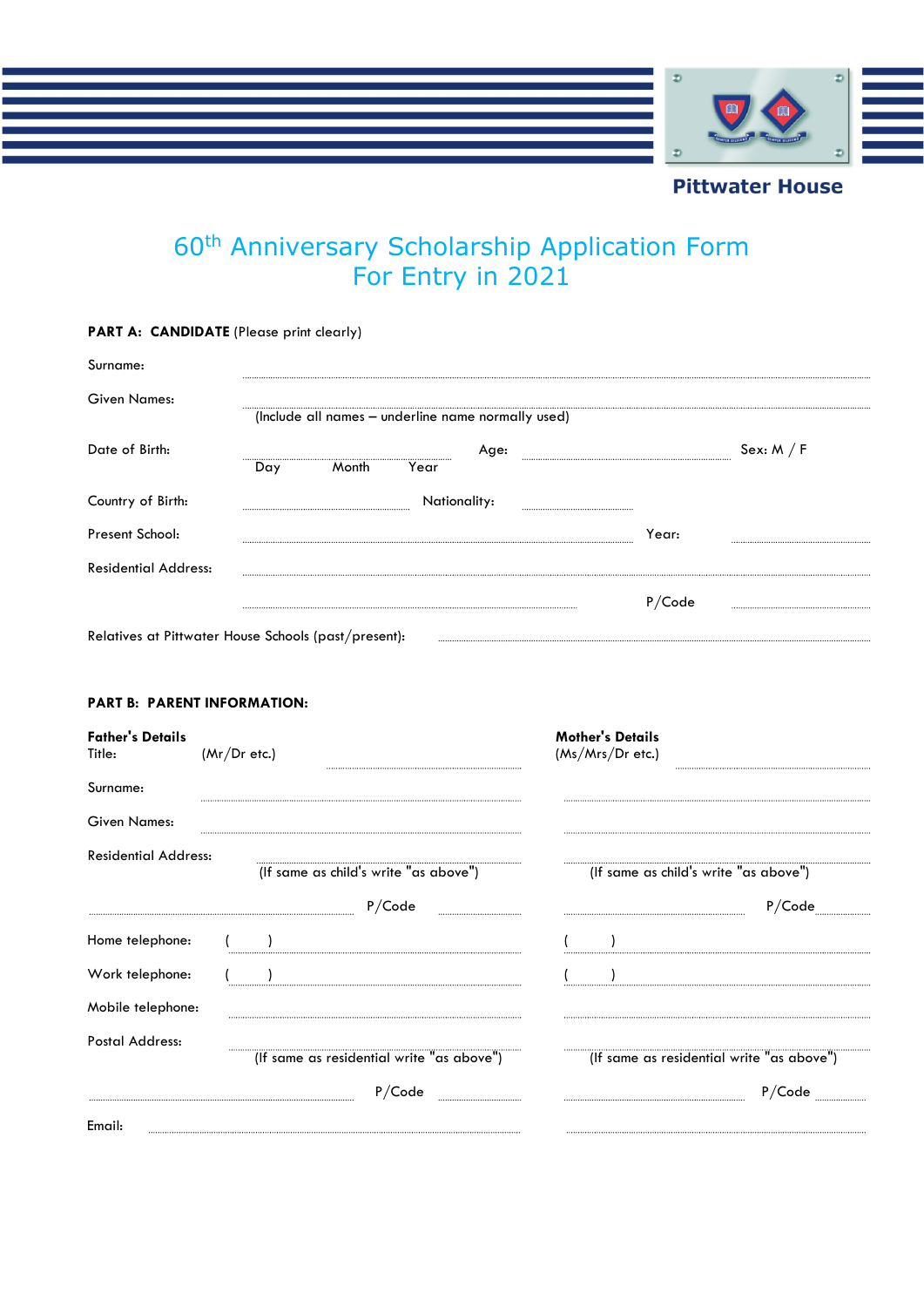

# 60<sup>th</sup> Anniversary Scholarship Application Form For Entry in 2021

| PART A: CANDIDATE (Please print clearly)                                |                                                      |                                             |        |
|-------------------------------------------------------------------------|------------------------------------------------------|---------------------------------------------|--------|
| Surname:                                                                |                                                      |                                             |        |
| Given Names:                                                            | (Include all names – underline name normally used)   |                                             |        |
| Date of Birth:                                                          | Age:<br>$\overline{\text{Month}}$<br>Day<br>Year     |                                             |        |
| Country of Birth:                                                       | Nationality:                                         |                                             |        |
| Present School:                                                         |                                                      | Year:                                       |        |
| <b>Residential Address:</b>                                             |                                                      |                                             |        |
|                                                                         |                                                      | P/Code                                      |        |
|                                                                         | Relatives at Pittwater House Schools (past/present): |                                             |        |
| <b>PART B: PARENT INFORMATION:</b><br><b>Father's Details</b><br>Title: | $(Mr)$ r etc.)                                       | <b>Mother's Details</b><br>(Ms/Mrs/Dr etc.) |        |
| Surname:                                                                |                                                      |                                             |        |
| <b>Given Names:</b>                                                     |                                                      |                                             |        |
| <b>Residential Address:</b>                                             | (If same as child's write "as above")<br>P/Code<br>  | (If same as child's write "as above")       | P/Code |
| Home telephone:                                                         | $($ )                                                | $\overline{\phantom{a}}$                    |        |
| Work telephone:                                                         |                                                      |                                             |        |
| Mobile telephone:                                                       |                                                      |                                             |        |
| Postal Address:                                                         | (If same as residential write "as above")            | (If same as residential write "as above")   |        |
|                                                                         |                                                      |                                             | P/Code |

Email: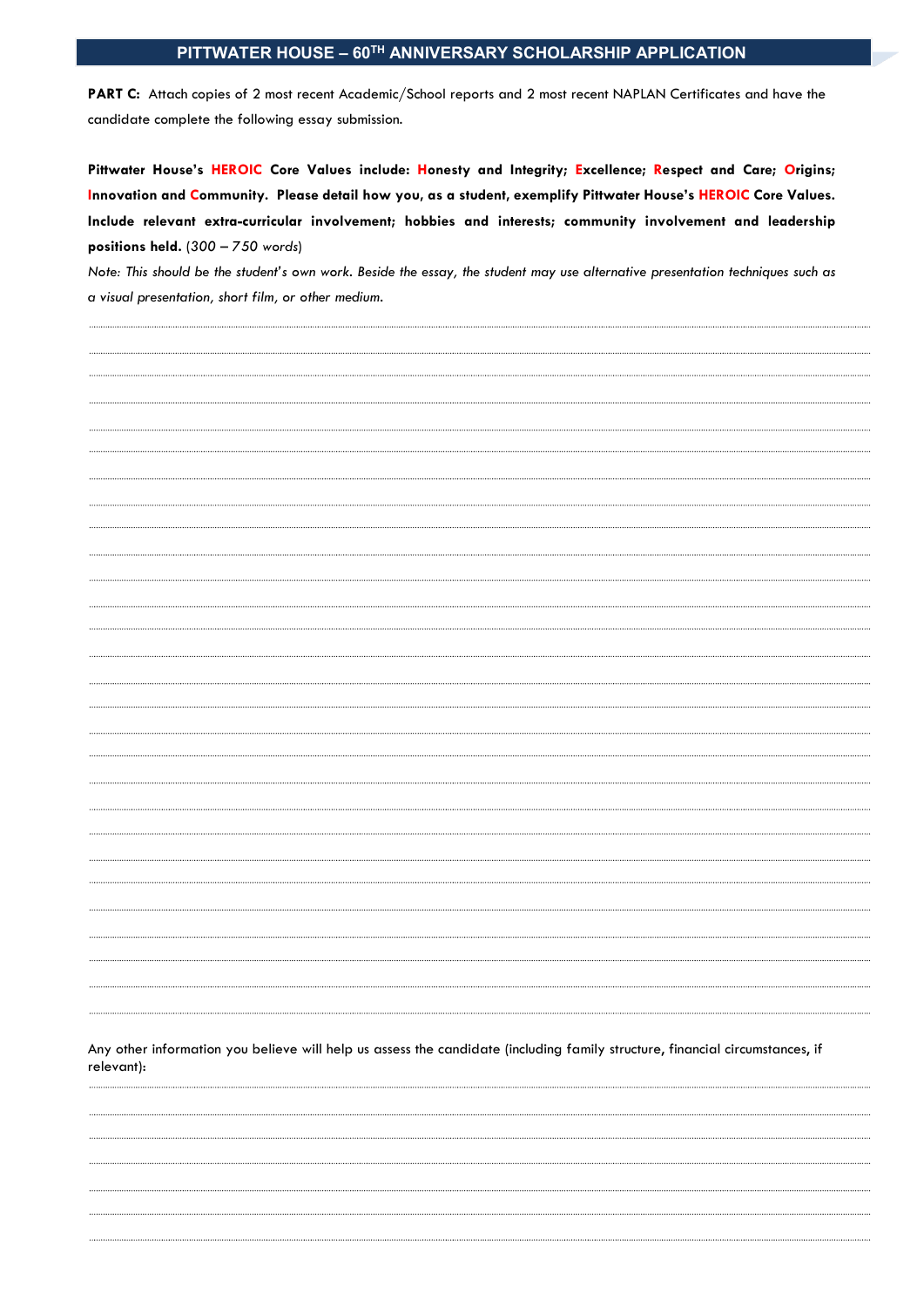# **PITTWATER HOUSE – 60TH ANNIVERSARY SCHOLARSHIP APPLICATION**

PART C: Attach copies of 2 most recent Academic/School reports and 2 most recent NAPLAN Certificates and have the candidate complete the following essay submission.

**Pittwater House's HEROIC Core Values include: Honesty and Integrity; Excellence; Respect and Care; Origins; Innovation and Community. Please detail how you, as a student, exemplify Pittwater House's HEROIC Core Values. Include relevant extra-curricular involvement; hobbies and interests; community involvement and leadership positions held.** (*300 – 750 words*)

*Note: This should be the student's own work. Beside the essay, the student may use alternative presentation techniques such as a visual presentation, short film, or other medium.*

Any other information you believe will help us assess the candidate (including family structure, financial circumstances, if relevant):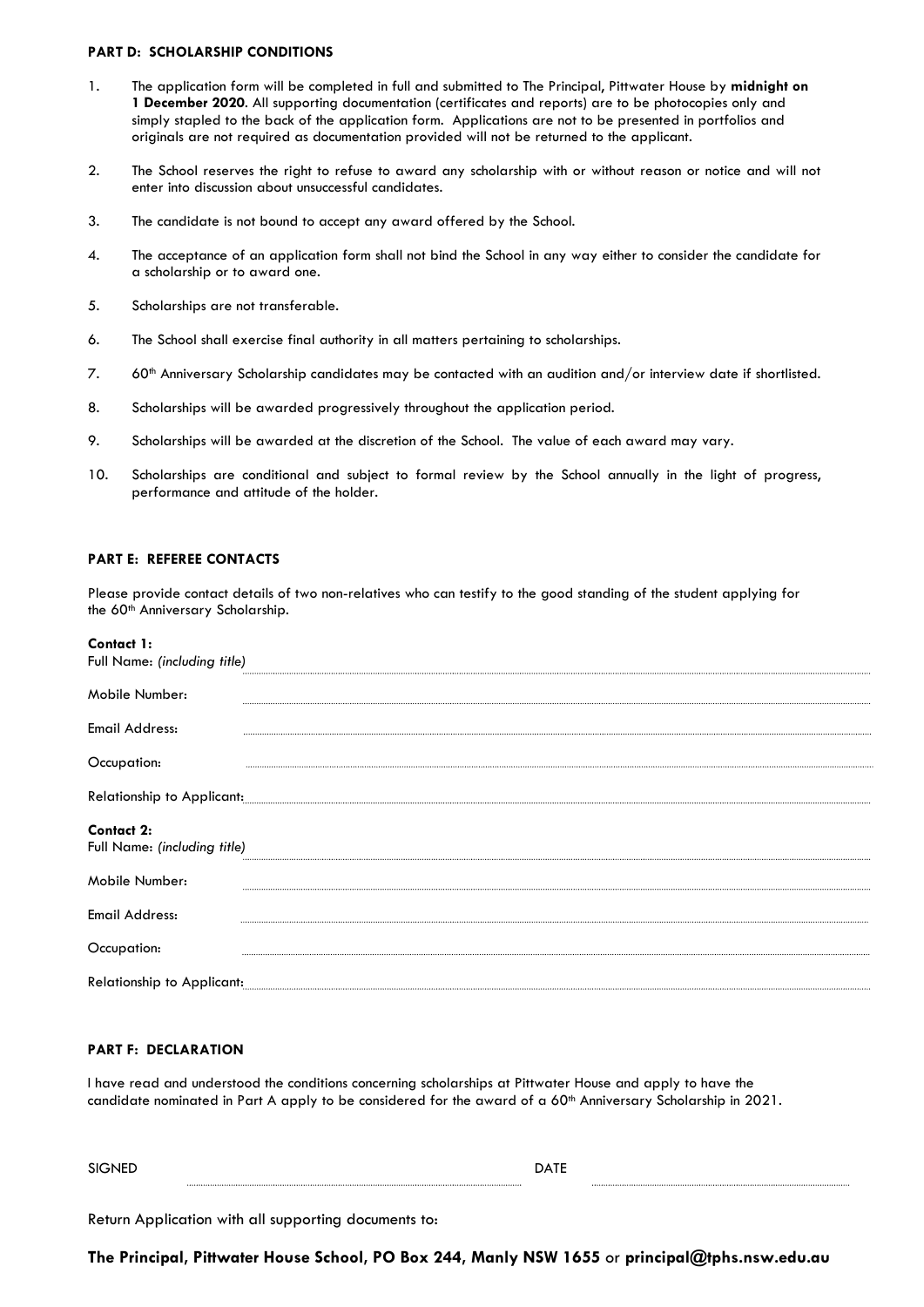#### **PART D: SCHOLARSHIP CONDITIONS**

- 1. The application form will be completed in full and submitted to The Principal, Pittwater House by **midnight on 1 December 2020**. All supporting documentation (certificates and reports) are to be photocopies only and simply stapled to the back of the application form. Applications are not to be presented in portfolios and originals are not required as documentation provided will not be returned to the applicant.
- 2. The School reserves the right to refuse to award any scholarship with or without reason or notice and will not enter into discussion about unsuccessful candidates.
- 3. The candidate is not bound to accept any award offered by the School.
- 4. The acceptance of an application form shall not bind the School in any way either to consider the candidate for a scholarship or to award one.
- 5. Scholarships are not transferable.
- 6. The School shall exercise final authority in all matters pertaining to scholarships.
- 7. 60th Anniversary Scholarship candidates may be contacted with an audition and/or interview date if shortlisted.
- 8. Scholarships will be awarded progressively throughout the application period.
- 9. Scholarships will be awarded at the discretion of the School. The value of each award may vary.
- 10. Scholarships are conditional and subject to formal review by the School annually in the light of progress, performance and attitude of the holder.

#### **PART E: REFEREE CONTACTS**

Please provide contact details of two non-relatives who can testify to the good standing of the student applying for the 60<sup>th</sup> Anniversary Scholarship.

| Contact 1:<br>Full Name: (including title)        |                            |
|---------------------------------------------------|----------------------------|
| Mobile Number:                                    |                            |
| <b>Email Address:</b>                             |                            |
| Occupation:                                       |                            |
|                                                   | Relationship to Applicant: |
| <b>Contact 2:</b><br>Full Name: (including title) |                            |
| Mobile Number:                                    |                            |
| <b>Email Address:</b>                             |                            |
| Occupation:                                       |                            |
|                                                   |                            |

#### **PART F: DECLARATION**

I have read and understood the conditions concerning scholarships at Pittwater House and apply to have the candidate nominated in Part A apply to be considered for the award of a 60<sup>th</sup> Anniversary Scholarship in 2021.

SIGNED DATE

Return Application with all supporting documents to:

**The Principal, Pittwater House School, PO Box 244, Manly NSW 1655** or **principal@tphs.nsw.edu.au**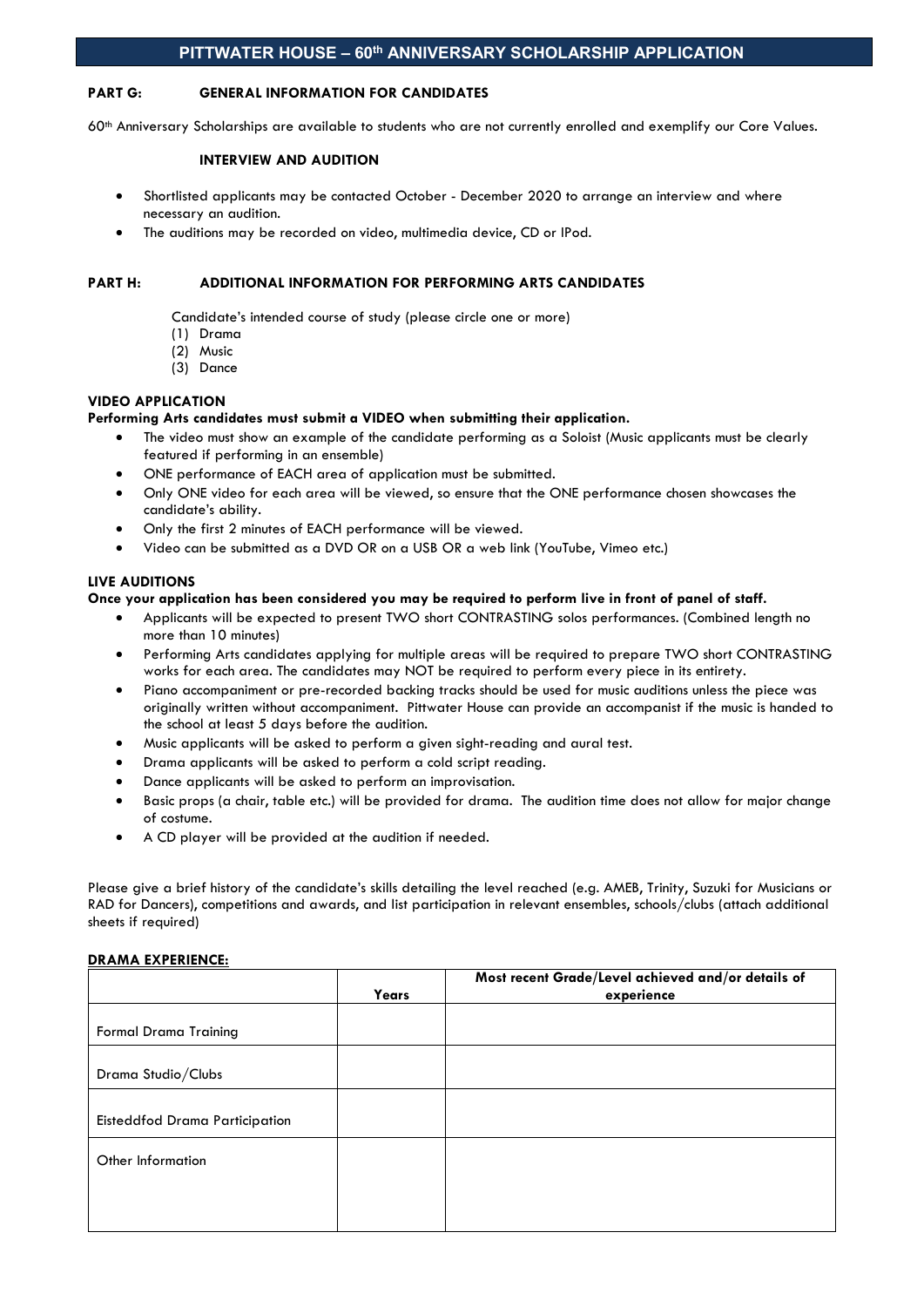## **PART G: GENERAL INFORMATION FOR CANDIDATES**

60<sup>th</sup> Anniversary Scholarships are available to students who are not currently enrolled and exemplify our Core Values.

#### **INTERVIEW AND AUDITION**

- Shortlisted applicants may be contacted October December 2020 to arrange an interview and where necessary an audition.
- The auditions may be recorded on video, multimedia device, CD or IPod.

#### **PART H: ADDITIONAL INFORMATION FOR PERFORMING ARTS CANDIDATES**

Candidate's intended course of study (please circle one or more)

- (1) Drama
- (2) Music
- (3) Dance

#### **VIDEO APPLICATION**

#### **Performing Arts candidates must submit a VIDEO when submitting their application.**

- The video must show an example of the candidate performing as a Soloist (Music applicants must be clearly featured if performing in an ensemble)
- ONE performance of EACH area of application must be submitted.
- Only ONE video for each area will be viewed, so ensure that the ONE performance chosen showcases the candidate's ability.
- Only the first 2 minutes of EACH performance will be viewed.
- Video can be submitted as a DVD OR on a USB OR a web link (YouTube, Vimeo etc.)

#### **LIVE AUDITIONS**

#### **Once your application has been considered you may be required to perform live in front of panel of staff.**

- Applicants will be expected to present TWO short CONTRASTING solos performances. (Combined length no more than 10 minutes)
- Performing Arts candidates applying for multiple areas will be required to prepare TWO short CONTRASTING works for each area. The candidates may NOT be required to perform every piece in its entirety.
- Piano accompaniment or pre-recorded backing tracks should be used for music auditions unless the piece was originally written without accompaniment. Pittwater House can provide an accompanist if the music is handed to the school at least 5 days before the audition.
- Music applicants will be asked to perform a given sight-reading and aural test.
- Drama applicants will be asked to perform a cold script reading.
- Dance applicants will be asked to perform an improvisation.
- Basic props (a chair, table etc.) will be provided for drama. The audition time does not allow for major change of costume.
- A CD player will be provided at the audition if needed.

Please give a brief history of the candidate's skills detailing the level reached (e.g. AMEB, Trinity, Suzuki for Musicians or RAD for Dancers), competitions and awards, and list participation in relevant ensembles, schools/clubs (attach additional sheets if required)

## **DRAMA EXPERIENCE:**

| Years | Most recent Grade/Level achieved and/or details of<br>experience |
|-------|------------------------------------------------------------------|
|       |                                                                  |
|       |                                                                  |
|       |                                                                  |
|       |                                                                  |
|       |                                                                  |
|       |                                                                  |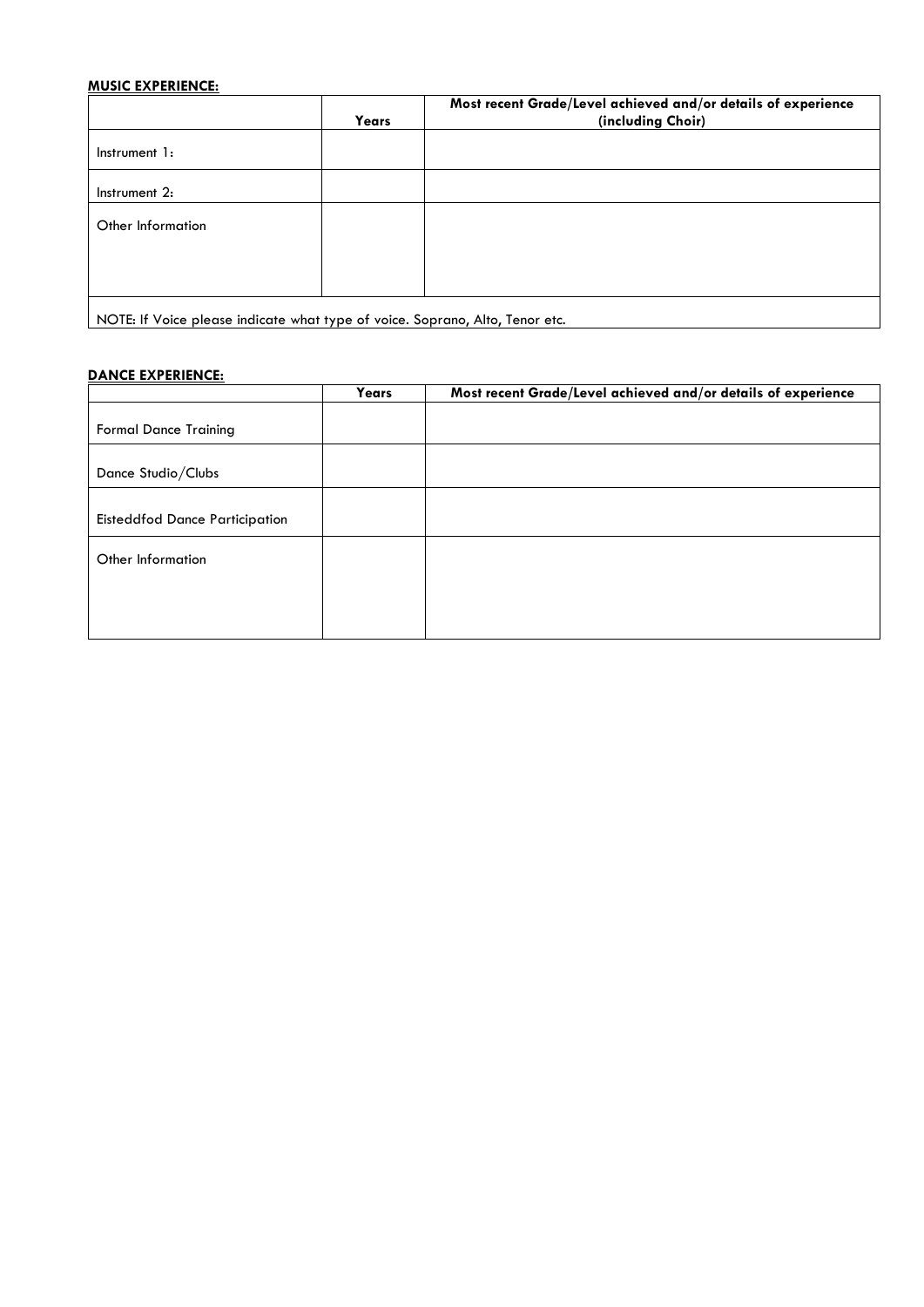# **MUSIC EXPERIENCE:**

|                                                                              | Years | Most recent Grade/Level achieved and/or details of experience<br>(including Choir) |
|------------------------------------------------------------------------------|-------|------------------------------------------------------------------------------------|
| Instrument 1:                                                                |       |                                                                                    |
| Instrument 2:                                                                |       |                                                                                    |
| Other Information                                                            |       |                                                                                    |
|                                                                              |       |                                                                                    |
| NOTE: If Voice please indicate what type of voice. Soprano, Alto, Tenor etc. |       |                                                                                    |

NOTE: If Voice please indicate what type of voice. Soprano, Alto, Tenor etc.

# **DANCE EXPERIENCE:**

|                                       | Years | Most recent Grade/Level achieved and/or details of experience |
|---------------------------------------|-------|---------------------------------------------------------------|
|                                       |       |                                                               |
| <b>Formal Dance Training</b>          |       |                                                               |
|                                       |       |                                                               |
| Dance Studio/Clubs                    |       |                                                               |
|                                       |       |                                                               |
| <b>Eisteddfod Dance Participation</b> |       |                                                               |
| Other Information                     |       |                                                               |
|                                       |       |                                                               |
|                                       |       |                                                               |
|                                       |       |                                                               |
|                                       |       |                                                               |